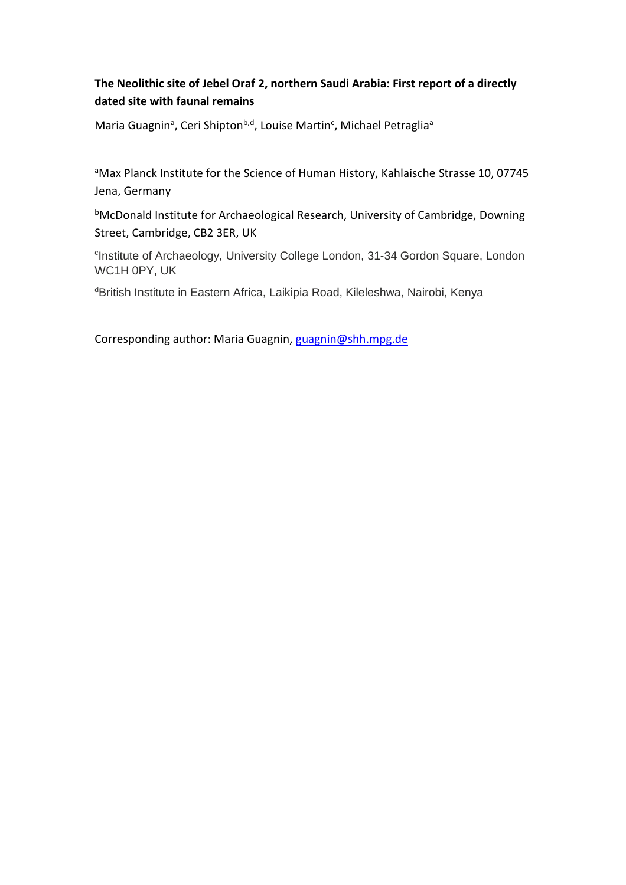# **The Neolithic site of Jebel Oraf 2, northern Saudi Arabia: First report of a directly dated site with faunal remains**

Maria Guagnin<sup>a</sup>, Ceri Shipton<sup>b,d</sup>, Louise Martin<sup>c</sup>, Michael Petraglia<sup>a</sup>

aMax Planck Institute for the Science of Human History, Kahlaische Strasse 10, 07745 Jena, Germany

bMcDonald Institute for Archaeological Research, University of Cambridge, Downing Street, Cambridge, CB2 3ER, UK

<sup>c</sup>Institute of Archaeology, University College London, 31-34 Gordon Square, London WC1H 0PY, UK

dBritish Institute in Eastern Africa, Laikipia Road, Kileleshwa, Nairobi, Kenya

Corresponding author: Maria Guagnin, [guagnin@shh.mpg.de](mailto:guagnin@shh.mpg.de)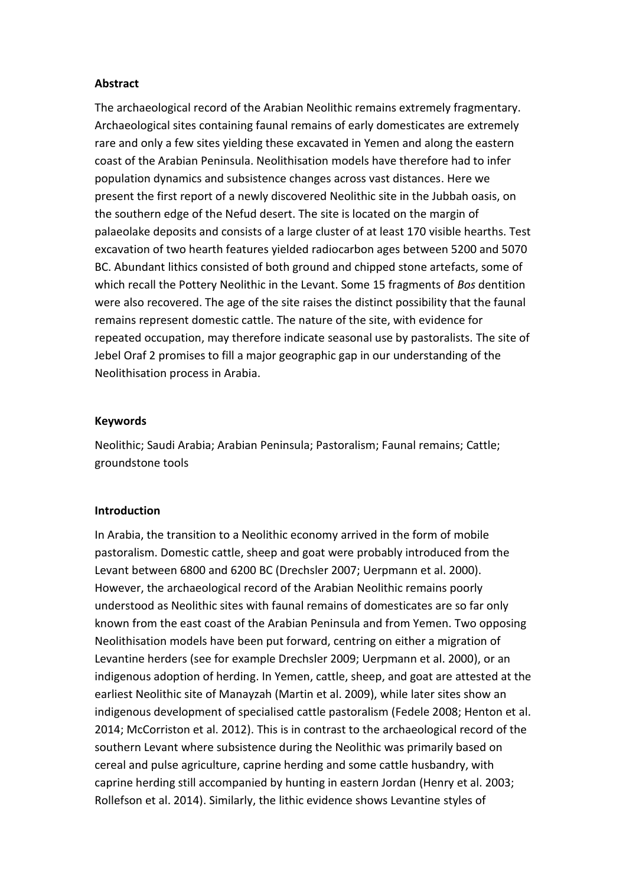# **Abstract**

The archaeological record of the Arabian Neolithic remains extremely fragmentary. Archaeological sites containing faunal remains of early domesticates are extremely rare and only a few sites yielding these excavated in Yemen and along the eastern coast of the Arabian Peninsula. Neolithisation models have therefore had to infer population dynamics and subsistence changes across vast distances. Here we present the first report of a newly discovered Neolithic site in the Jubbah oasis, on the southern edge of the Nefud desert. The site is located on the margin of palaeolake deposits and consists of a large cluster of at least 170 visible hearths. Test excavation of two hearth features yielded radiocarbon ages between 5200 and 5070 BC. Abundant lithics consisted of both ground and chipped stone artefacts, some of which recall the Pottery Neolithic in the Levant. Some 15 fragments of *Bos* dentition were also recovered. The age of the site raises the distinct possibility that the faunal remains represent domestic cattle. The nature of the site, with evidence for repeated occupation, may therefore indicate seasonal use by pastoralists. The site of Jebel Oraf 2 promises to fill a major geographic gap in our understanding of the Neolithisation process in Arabia.

## **Keywords**

Neolithic; Saudi Arabia; Arabian Peninsula; Pastoralism; Faunal remains; Cattle; groundstone tools

#### **Introduction**

In Arabia, the transition to a Neolithic economy arrived in the form of mobile pastoralism. Domestic cattle, sheep and goat were probably introduced from the Levant between 6800 and 6200 BC (Drechsler 2007; Uerpmann et al. 2000). However, the archaeological record of the Arabian Neolithic remains poorly understood as Neolithic sites with faunal remains of domesticates are so far only known from the east coast of the Arabian Peninsula and from Yemen. Two opposing Neolithisation models have been put forward, centring on either a migration of Levantine herders (see for example Drechsler 2009; Uerpmann et al. 2000), or an indigenous adoption of herding. In Yemen, cattle, sheep, and goat are attested at the earliest Neolithic site of Manayzah (Martin et al. 2009), while later sites show an indigenous development of specialised cattle pastoralism (Fedele 2008; Henton et al. 2014; McCorriston et al. 2012). This is in contrast to the archaeological record of the southern Levant where subsistence during the Neolithic was primarily based on cereal and pulse agriculture, caprine herding and some cattle husbandry, with caprine herding still accompanied by hunting in eastern Jordan (Henry et al. 2003; Rollefson et al. 2014). Similarly, the lithic evidence shows Levantine styles of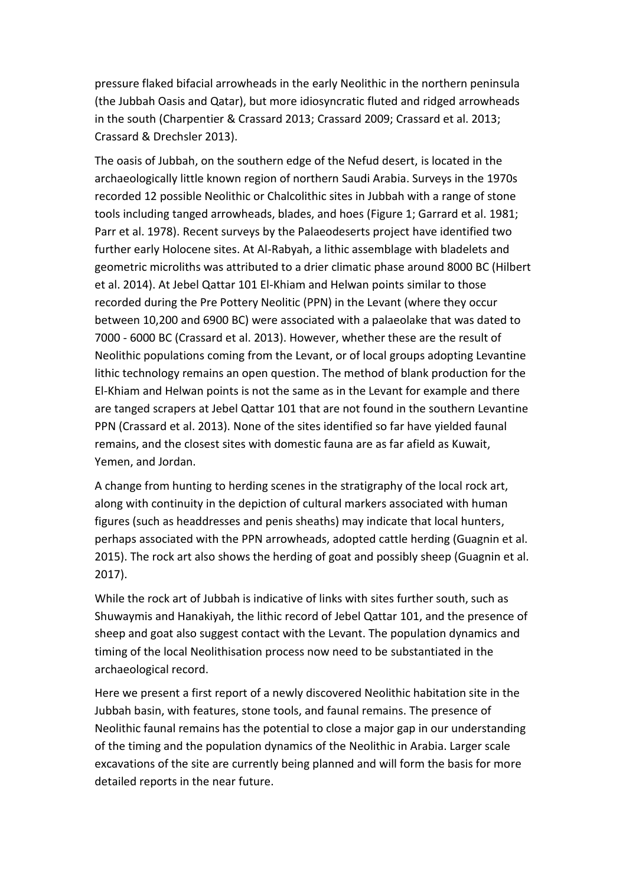pressure flaked bifacial arrowheads in the early Neolithic in the northern peninsula (the Jubbah Oasis and Qatar), but more idiosyncratic fluted and ridged arrowheads in the south (Charpentier & Crassard 2013; Crassard 2009; Crassard et al. 2013; Crassard & Drechsler 2013).

The oasis of Jubbah, on the southern edge of the Nefud desert, is located in the archaeologically little known region of northern Saudi Arabia. Surveys in the 1970s recorded 12 possible Neolithic or Chalcolithic sites in Jubbah with a range of stone tools including tanged arrowheads, blades, and hoes (Figure 1; Garrard et al. 1981; Parr et al. 1978). Recent surveys by the Palaeodeserts project have identified two further early Holocene sites. At Al-Rabyah, a lithic assemblage with bladelets and geometric microliths was attributed to a drier climatic phase around 8000 BC (Hilbert et al. 2014). At Jebel Qattar 101 El-Khiam and Helwan points similar to those recorded during the Pre Pottery Neolitic (PPN) in the Levant (where they occur between 10,200 and 6900 BC) were associated with a palaeolake that was dated to 7000 - 6000 BC (Crassard et al. 2013). However, whether these are the result of Neolithic populations coming from the Levant, or of local groups adopting Levantine lithic technology remains an open question. The method of blank production for the El-Khiam and Helwan points is not the same as in the Levant for example and there are tanged scrapers at Jebel Qattar 101 that are not found in the southern Levantine PPN (Crassard et al. 2013). None of the sites identified so far have yielded faunal remains, and the closest sites with domestic fauna are as far afield as Kuwait, Yemen, and Jordan.

A change from hunting to herding scenes in the stratigraphy of the local rock art, along with continuity in the depiction of cultural markers associated with human figures (such as headdresses and penis sheaths) may indicate that local hunters, perhaps associated with the PPN arrowheads, adopted cattle herding (Guagnin et al. 2015). The rock art also shows the herding of goat and possibly sheep (Guagnin et al. 2017).

While the rock art of Jubbah is indicative of links with sites further south, such as Shuwaymis and Hanakiyah, the lithic record of Jebel Qattar 101, and the presence of sheep and goat also suggest contact with the Levant. The population dynamics and timing of the local Neolithisation process now need to be substantiated in the archaeological record.

Here we present a first report of a newly discovered Neolithic habitation site in the Jubbah basin, with features, stone tools, and faunal remains. The presence of Neolithic faunal remains has the potential to close a major gap in our understanding of the timing and the population dynamics of the Neolithic in Arabia. Larger scale excavations of the site are currently being planned and will form the basis for more detailed reports in the near future.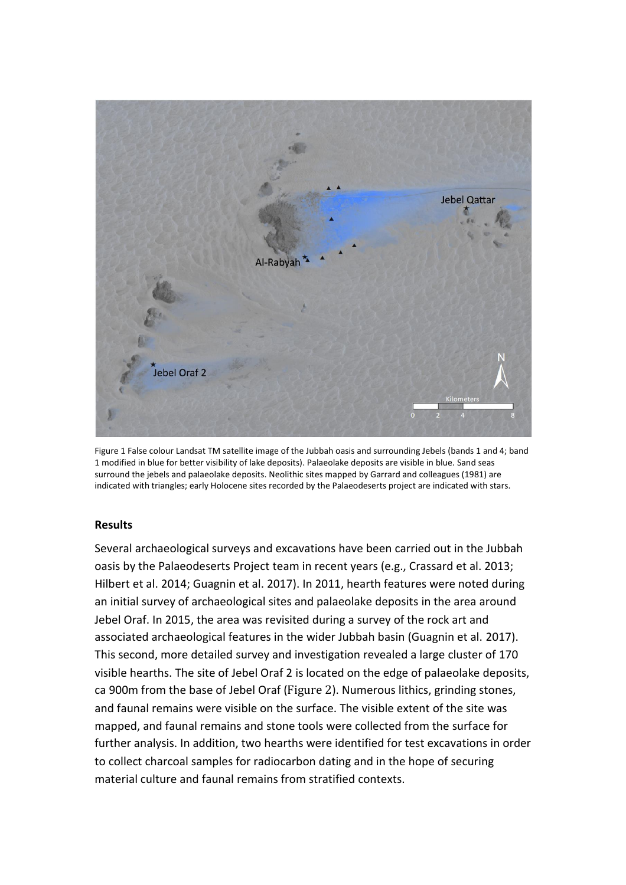

Figure 1 False colour Landsat TM satellite image of the Jubbah oasis and surrounding Jebels (bands 1 and 4; band 1 modified in blue for better visibility of lake deposits). Palaeolake deposits are visible in blue. Sand seas surround the jebels and palaeolake deposits. Neolithic sites mapped by Garrard and colleagues (1981) are indicated with triangles; early Holocene sites recorded by the Palaeodeserts project are indicated with stars.

# **Results**

Several archaeological surveys and excavations have been carried out in the Jubbah oasis by the Palaeodeserts Project team in recent years (e.g., Crassard et al. 2013; Hilbert et al. 2014; Guagnin et al. 2017). In 2011, hearth features were noted during an initial survey of archaeological sites and palaeolake deposits in the area around Jebel Oraf. In 2015, the area was revisited during a survey of the rock art and associated archaeological features in the wider Jubbah basin (Guagnin et al. 2017). This second, more detailed survey and investigation revealed a large cluster of 170 visible hearths. The site of Jebel Oraf 2 is located on the edge of palaeolake deposits, ca 900m from the base of Jebel Oraf ([Figure 2](#page-4-0)). Numerous lithics, grinding stones, and faunal remains were visible on the surface. The visible extent of the site was mapped, and faunal remains and stone tools were collected from the surface for further analysis. In addition, two hearths were identified for test excavations in order to collect charcoal samples for radiocarbon dating and in the hope of securing material culture and faunal remains from stratified contexts.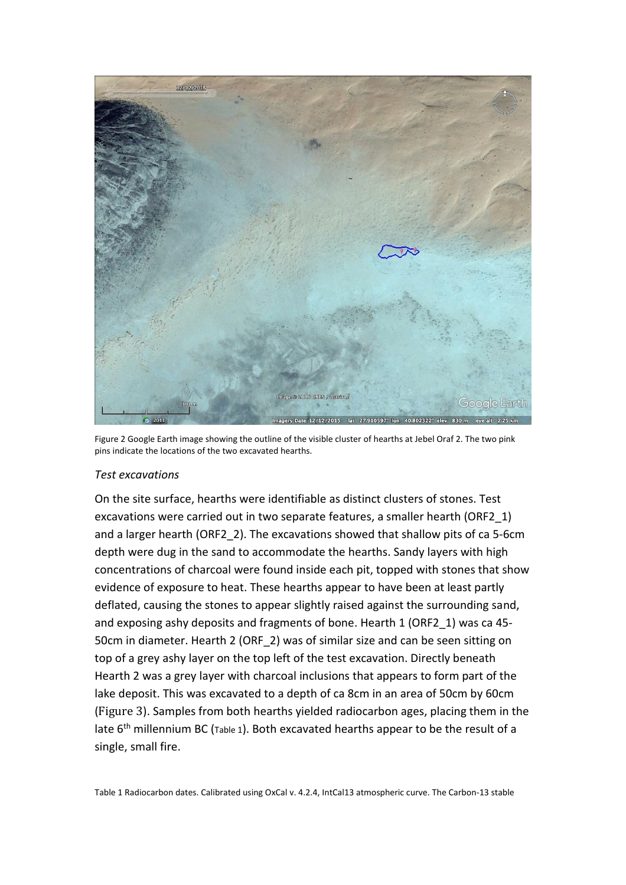

Figure 2 Google Earth image showing the outline of the visible cluster of hearths at Jebel Oraf 2. The two pink pins indicate the locations of the two excavated hearths.

#### <span id="page-4-0"></span>*Test excavations*

<span id="page-4-1"></span>On the site surface, hearths were identifiable as distinct clusters of stones. Test excavations were carried out in two separate features, a smaller hearth (ORF2\_1) and a larger hearth (ORF2\_2). The excavations showed that shallow pits of ca 5-6cm depth were dug in the sand to accommodate the hearths. Sandy layers with high concentrations of charcoal were found inside each pit, topped with stones that show evidence of exposure to heat. These hearths appear to have been at least partly deflated, causing the stones to appear slightly raised against the surrounding sand, and exposing ashy deposits and fragments of bone. Hearth 1 (ORF2\_1) was ca 45- 50cm in diameter. Hearth 2 (ORF\_2) was of similar size and can be seen sitting on top of a grey ashy layer on the top left of the test excavation. Directly beneath Hearth 2 was a grey layer with charcoal inclusions that appears to form part of the lake deposit. This was excavated to a depth of ca 8cm in an area of 50cm by 60cm ([Figure 3](#page-5-0)). Samples from both hearths yielded radiocarbon ages, placing them in the late 6<sup>th</sup> millennium BC ([Table 1](#page-4-1)). Both excavated hearths appear to be the result of a single, small fire.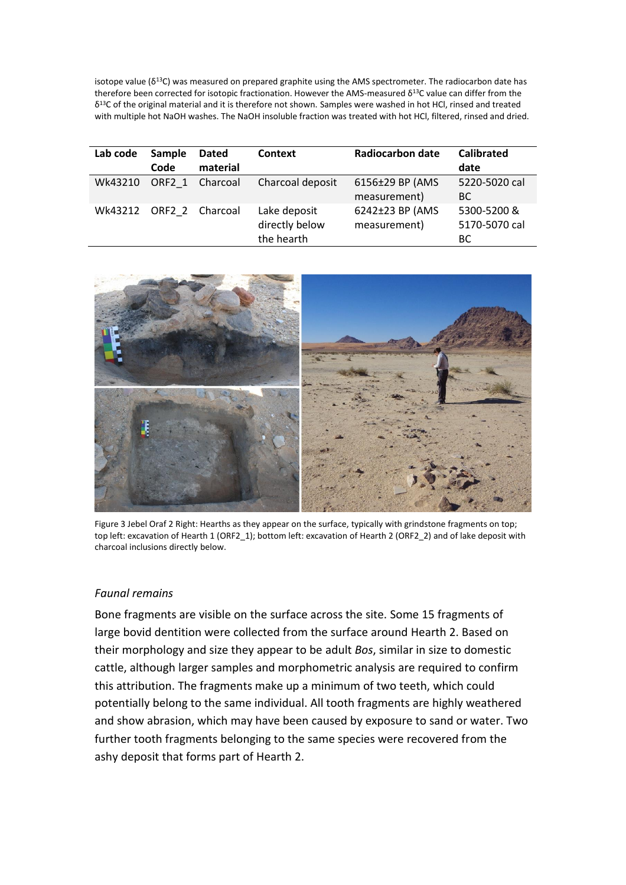isotope value ( $\delta^{13}$ C) was measured on prepared graphite using the AMS spectrometer. The radiocarbon date has therefore been corrected for isotopic fractionation. However the AMS-measured δ<sup>13</sup>C value can differ from the δ <sup>13</sup>C of the original material and it is therefore not shown. Samples were washed in hot HCl, rinsed and treated with multiple hot NaOH washes. The NaOH insoluble fraction was treated with hot HCl, filtered, rinsed and dried.

| Lab code | Sample<br>Code | <b>Dated</b><br>material | <b>Context</b>                               | Radiocarbon date                | <b>Calibrated</b><br>date          |
|----------|----------------|--------------------------|----------------------------------------------|---------------------------------|------------------------------------|
| Wk43210  | ORF2 1         | Charcoal                 | Charcoal deposit                             | 6156±29 BP (AMS<br>measurement) | 5220-5020 cal<br><b>BC</b>         |
| Wk43212  |                | ORF2 2 Charcoal          | Lake deposit<br>directly below<br>the hearth | 6242±23 BP (AMS<br>measurement) | 5300-5200 &<br>5170-5070 cal<br>BС |



<span id="page-5-0"></span>Figure 3 Jebel Oraf 2 Right: Hearths as they appear on the surface, typically with grindstone fragments on top; top left: excavation of Hearth 1 (ORF2\_1); bottom left: excavation of Hearth 2 (ORF2\_2) and of lake deposit with charcoal inclusions directly below.

#### *Faunal remains*

Bone fragments are visible on the surface across the site. Some 15 fragments of large bovid dentition were collected from the surface around Hearth 2. Based on their morphology and size they appear to be adult *Bos*, similar in size to domestic cattle, although larger samples and morphometric analysis are required to confirm this attribution. The fragments make up a minimum of two teeth, which could potentially belong to the same individual. All tooth fragments are highly weathered and show abrasion, which may have been caused by exposure to sand or water. Two further tooth fragments belonging to the same species were recovered from the ashy deposit that forms part of Hearth 2.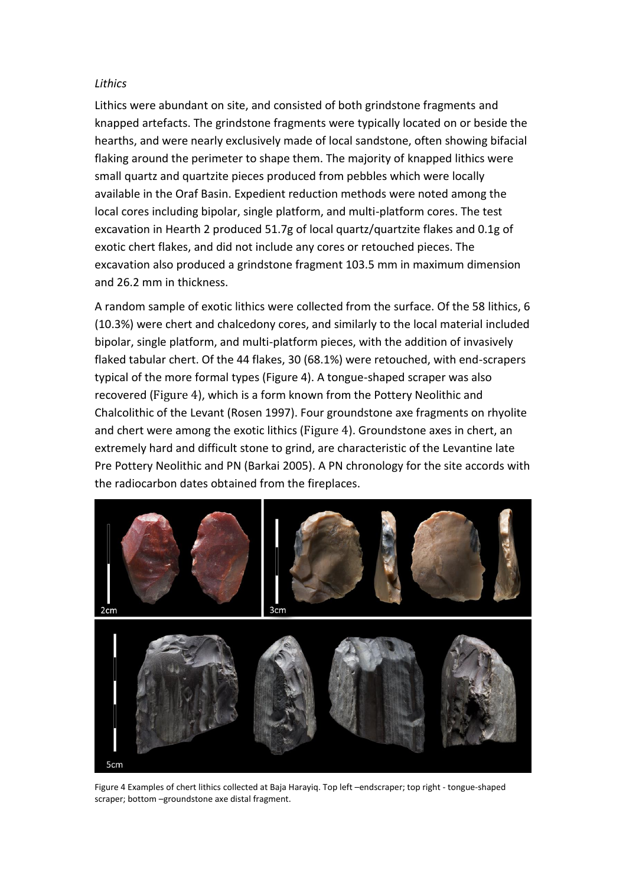## *Lithics*

Lithics were abundant on site, and consisted of both grindstone fragments and knapped artefacts. The grindstone fragments were typically located on or beside the hearths, and were nearly exclusively made of local sandstone, often showing bifacial flaking around the perimeter to shape them. The majority of knapped lithics were small quartz and quartzite pieces produced from pebbles which were locally available in the Oraf Basin. Expedient reduction methods were noted among the local cores including bipolar, single platform, and multi-platform cores. The test excavation in Hearth 2 produced 51.7g of local quartz/quartzite flakes and 0.1g of exotic chert flakes, and did not include any cores or retouched pieces. The excavation also produced a grindstone fragment 103.5 mm in maximum dimension and 26.2 mm in thickness.

A random sample of exotic lithics were collected from the surface. Of the 58 lithics, 6 (10.3%) were chert and chalcedony cores, and similarly to the local material included bipolar, single platform, and multi-platform pieces, with the addition of invasively flaked tabular chert. Of the 44 flakes, 30 (68.1%) were retouched, with end-scrapers typical of the more formal types (Figure 4). A tongue-shaped scraper was also recovered ([Figure 4](#page-6-0)), which is a form known from the Pottery Neolithic and Chalcolithic of the Levant (Rosen 1997). Four groundstone axe fragments on rhyolite and chert were among the exotic lithics ([Figure 4](#page-6-0)). Groundstone axes in chert, an extremely hard and difficult stone to grind, are characteristic of the Levantine late Pre Pottery Neolithic and PN (Barkai 2005). A PN chronology for the site accords with the radiocarbon dates obtained from the fireplaces.

<span id="page-6-0"></span>

Figure 4 Examples of chert lithics collected at Baja Harayiq. Top left –endscraper; top right - tongue-shaped scraper; bottom –groundstone axe distal fragment.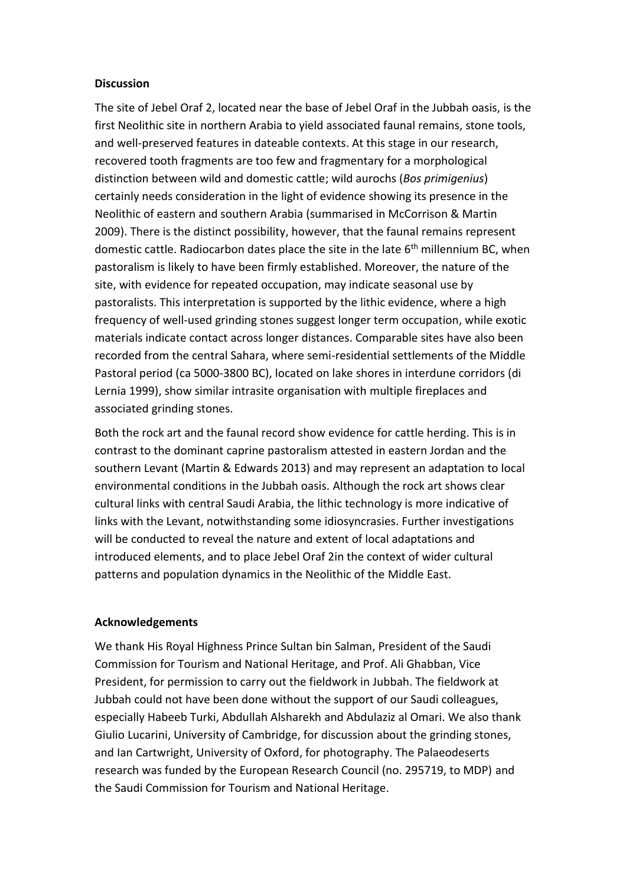## **Discussion**

The site of Jebel Oraf 2, located near the base of Jebel Oraf in the Jubbah oasis, is the first Neolithic site in northern Arabia to yield associated faunal remains, stone tools, and well-preserved features in dateable contexts. At this stage in our research, recovered tooth fragments are too few and fragmentary for a morphological distinction between wild and domestic cattle; wild aurochs (*Bos primigenius*) certainly needs consideration in the light of evidence showing its presence in the Neolithic of eastern and southern Arabia (summarised in McCorrison & Martin 2009). There is the distinct possibility, however, that the faunal remains represent domestic cattle. Radiocarbon dates place the site in the late  $6<sup>th</sup>$  millennium BC, when pastoralism is likely to have been firmly established. Moreover, the nature of the site, with evidence for repeated occupation, may indicate seasonal use by pastoralists. This interpretation is supported by the lithic evidence, where a high frequency of well-used grinding stones suggest longer term occupation, while exotic materials indicate contact across longer distances. Comparable sites have also been recorded from the central Sahara, where semi-residential settlements of the Middle Pastoral period (ca 5000-3800 BC), located on lake shores in interdune corridors (di Lernia 1999), show similar intrasite organisation with multiple fireplaces and associated grinding stones.

Both the rock art and the faunal record show evidence for cattle herding. This is in contrast to the dominant caprine pastoralism attested in eastern Jordan and the southern Levant (Martin & Edwards 2013) and may represent an adaptation to local environmental conditions in the Jubbah oasis. Although the rock art shows clear cultural links with central Saudi Arabia, the lithic technology is more indicative of links with the Levant, notwithstanding some idiosyncrasies. Further investigations will be conducted to reveal the nature and extent of local adaptations and introduced elements, and to place Jebel Oraf 2in the context of wider cultural patterns and population dynamics in the Neolithic of the Middle East.

# **Acknowledgements**

We thank His Royal Highness Prince Sultan bin Salman, President of the Saudi Commission for Tourism and National Heritage, and Prof. Ali Ghabban, Vice President, for permission to carry out the fieldwork in Jubbah. The fieldwork at Jubbah could not have been done without the support of our Saudi colleagues, especially Habeeb Turki, Abdullah Alsharekh and Abdulaziz al Omari. We also thank Giulio Lucarini, University of Cambridge, for discussion about the grinding stones, and Ian Cartwright, University of Oxford, for photography. The Palaeodeserts research was funded by the European Research Council (no. 295719, to MDP) and the Saudi Commission for Tourism and National Heritage.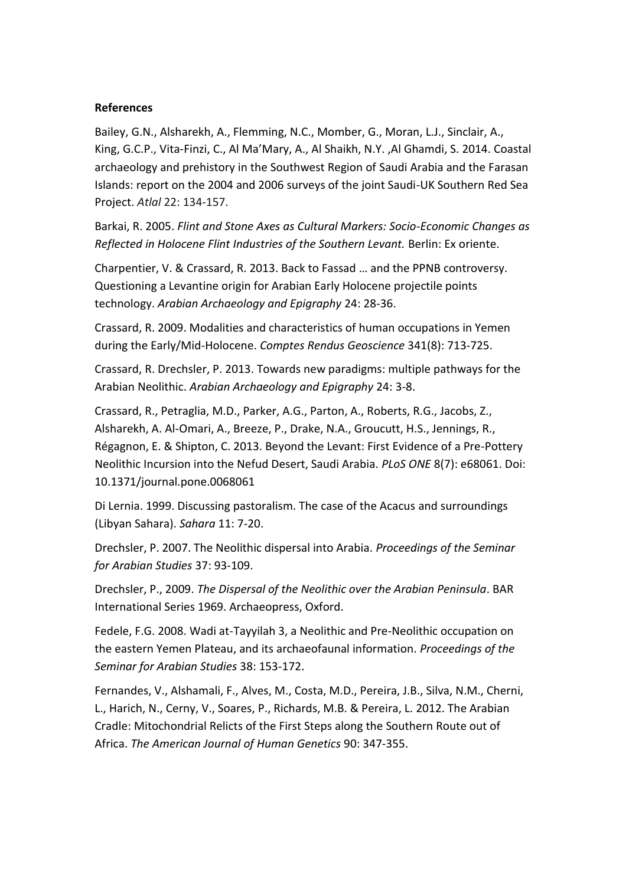## **References**

Bailey, G.N., Alsharekh, A., Flemming, N.C., Momber, G., Moran, L.J., Sinclair, A., King, G.C.P., Vita-Finzi, C., Al Ma'Mary, A., Al Shaikh, N.Y. ,Al Ghamdi, S. 2014. Coastal archaeology and prehistory in the Southwest Region of Saudi Arabia and the Farasan Islands: report on the 2004 and 2006 surveys of the joint Saudi-UK Southern Red Sea Project. *Atlal* 22: 134-157.

Barkai, R. 2005. *Flint and Stone Axes as Cultural Markers: Socio-Economic Changes as Reflected in Holocene Flint Industries of the Southern Levant.* Berlin: Ex oriente.

Charpentier, V. & Crassard, R. 2013. Back to Fassad … and the PPNB controversy. Questioning a Levantine origin for Arabian Early Holocene projectile points technology. *Arabian Archaeology and Epigraphy* 24: 28-36.

Crassard, R. 2009. Modalities and characteristics of human occupations in Yemen during the Early/Mid-Holocene. *Comptes Rendus Geoscience* 341(8): 713-725.

Crassard, R. Drechsler, P. 2013. Towards new paradigms: multiple pathways for the Arabian Neolithic. *Arabian Archaeology and Epigraphy* 24: 3-8.

Crassard, R., Petraglia, M.D., Parker, A.G., Parton, A., Roberts, R.G., Jacobs, Z., Alsharekh, A. Al-Omari, A., Breeze, P., Drake, N.A., Groucutt, H.S., Jennings, R., Régagnon, E. & Shipton, C. 2013. Beyond the Levant: First Evidence of a Pre-Pottery Neolithic Incursion into the Nefud Desert, Saudi Arabia. *PLoS ONE* 8(7): e68061. Doi: 10.1371/journal.pone.0068061

Di Lernia. 1999. Discussing pastoralism. The case of the Acacus and surroundings (Libyan Sahara). *Sahara* 11: 7-20.

Drechsler, P. 2007. The Neolithic dispersal into Arabia. *Proceedings of the Seminar for Arabian Studies* 37: 93-109.

Drechsler, P., 2009. *The Dispersal of the Neolithic over the Arabian Peninsula*. BAR International Series 1969. Archaeopress, Oxford.

Fedele, F.G. 2008. Wadi at-Tayyilah 3, a Neolithic and Pre-Neolithic occupation on the eastern Yemen Plateau, and its archaeofaunal information. *Proceedings of the Seminar for Arabian Studies* 38: 153-172.

Fernandes, V., Alshamali, F., Alves, M., Costa, M.D., Pereira, J.B., Silva, N.M., Cherni, L., Harich, N., Cerny, V., Soares, P., Richards, M.B. & Pereira, L. 2012. The Arabian Cradle: Mitochondrial Relicts of the First Steps along the Southern Route out of Africa. *The American Journal of Human Genetics* 90: 347-355.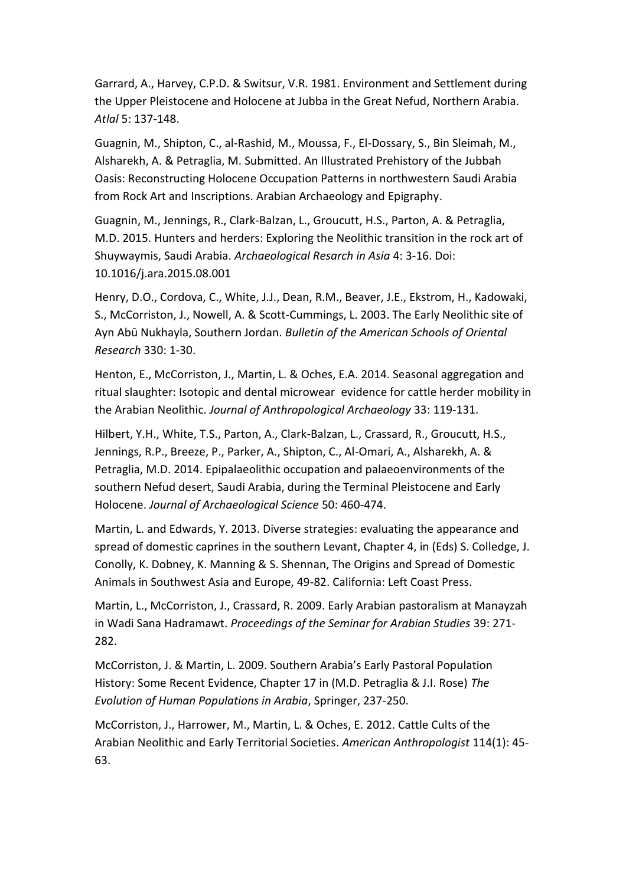Garrard, A., Harvey, C.P.D. & Switsur, V.R. 1981. Environment and Settlement during the Upper Pleistocene and Holocene at Jubba in the Great Nefud, Northern Arabia. *Atlal* 5: 137-148.

Guagnin, M., Shipton, C., al-Rashid, M., Moussa, F., El-Dossary, S., Bin Sleimah, M., Alsharekh, A. & Petraglia, M. Submitted. An Illustrated Prehistory of the Jubbah Oasis: Reconstructing Holocene Occupation Patterns in northwestern Saudi Arabia from Rock Art and Inscriptions. Arabian Archaeology and Epigraphy.

Guagnin, M., Jennings, R., Clark-Balzan, L., Groucutt, H.S., Parton, A. & Petraglia, M.D. 2015. Hunters and herders: Exploring the Neolithic transition in the rock art of Shuywaymis, Saudi Arabia. *Archaeological Resarch in Asia* 4: 3-16. Doi: 10.1016/j.ara.2015.08.001

Henry, D.O., Cordova, C., White, J.J., Dean, R.M., Beaver, J.E., Ekstrom, H., Kadowaki, S., McCorriston, J., Nowell, A. & Scott-Cummings, L. 2003. The Early Neolithic site of Ayn Abū Nukhayla, Southern Jordan. *Bulletin of the American Schools of Oriental Research* 330: 1-30.

Henton, E., McCorriston, J., Martin, L. & Oches, E.A. 2014. Seasonal aggregation and ritual slaughter: Isotopic and dental microwear evidence for cattle herder mobility in the Arabian Neolithic. *Journal of Anthropological Archaeology* 33: 119-131.

Hilbert, Y.H., White, T.S., Parton, A., Clark-Balzan, L., Crassard, R., Groucutt, H.S., Jennings, R.P., Breeze, P., Parker, A., Shipton, C., Al-Omari, A., Alsharekh, A. & Petraglia, M.D. 2014. Epipalaeolithic occupation and palaeoenvironments of the southern Nefud desert, Saudi Arabia, during the Terminal Pleistocene and Early Holocene. *Journal of Archaeological Science* 50: 460-474.

Martin, L. and Edwards, Y. 2013. Diverse strategies: evaluating the appearance and spread of domestic caprines in the southern Levant, Chapter 4, in (Eds) S. Colledge, J. Conolly, K. Dobney, K. Manning & S. Shennan, The Origins and Spread of Domestic Animals in Southwest Asia and Europe, 49-82. California: Left Coast Press.

Martin, L., McCorriston, J., Crassard, R. 2009. Early Arabian pastoralism at Manayzah in Wadi Sana Hadramawt. *Proceedings of the Seminar for Arabian Studies* 39: 271- 282.

McCorriston, J. & Martin, L. 2009. Southern Arabia's Early Pastoral Population History: Some Recent Evidence, Chapter 17 in (M.D. Petraglia & J.I. Rose) *The Evolution of Human Populations in Arabia*, Springer, 237-250.

McCorriston, J., Harrower, M., Martin, L. & Oches, E. 2012. Cattle Cults of the Arabian Neolithic and Early Territorial Societies. *American Anthropologist* 114(1): 45- 63.